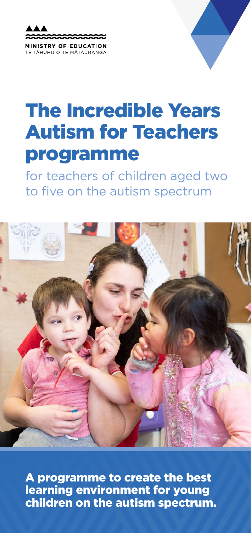



# The Incredible Years Autism for Teachers programme

for teachers of children aged two to five on the autism spectrum



A programme to create the best learning environment for young children on the autism spectrum.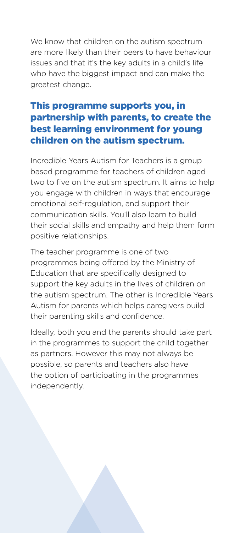We know that children on the autism spectrum are more likely than their peers to have behaviour issues and that it's the key adults in a child's life who have the biggest impact and can make the greatest change.

### This programme supports you, in partnership with parents, to create the best learning environment for young children on the autism spectrum.

Incredible Years Autism for Teachers is a group based programme for teachers of children aged two to five on the autism spectrum. It aims to help you engage with children in ways that encourage emotional self-regulation, and support their communication skills. You'll also learn to build their social skills and empathy and help them form positive relationships.

The teacher programme is one of two programmes being offered by the Ministry of Education that are specifically designed to support the key adults in the lives of children on the autism spectrum. The other is Incredible Years Autism for parents which helps caregivers build their parenting skills and confidence.

Ideally, both you and the parents should take part in the programmes to support the child together as partners. However this may not always be possible, so parents and teachers also have the option of participating in the programmes independently.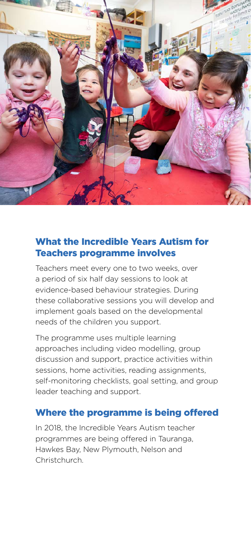

## What the Incredible Years Autism for Teachers programme involves

Teachers meet every one to two weeks, over a period of six half day sessions to look at evidence-based behaviour strategies. During these collaborative sessions you will develop and implement goals based on the developmental needs of the children you support.

The programme uses multiple learning approaches including video modelling, group discussion and support, practice activities within sessions, home activities, reading assignments, self-monitoring checklists, goal setting, and group leader teaching and support.

#### Where the programme is being offered

In 2018, the Incredible Years Autism teacher programmes are being offered in Tauranga, Hawkes Bay, New Plymouth, Nelson and Christchurch.